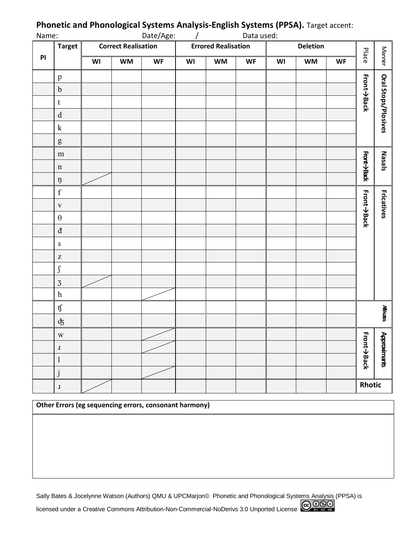| Name: |                                                                                                                                                                                                                                                                                                                                                                                                                                | Date/Age:<br>Data used:    |           |           |                            |           |           |          |           |           |                   |                     |
|-------|--------------------------------------------------------------------------------------------------------------------------------------------------------------------------------------------------------------------------------------------------------------------------------------------------------------------------------------------------------------------------------------------------------------------------------|----------------------------|-----------|-----------|----------------------------|-----------|-----------|----------|-----------|-----------|-------------------|---------------------|
|       | <b>Target</b>                                                                                                                                                                                                                                                                                                                                                                                                                  | <b>Correct Realisation</b> |           |           | <b>Errored Realisation</b> |           |           | Deletion |           |           |                   |                     |
| PI    |                                                                                                                                                                                                                                                                                                                                                                                                                                | WI                         | <b>WM</b> | <b>WF</b> | WI                         | <b>WM</b> | <b>WF</b> | WI       | <b>WM</b> | <b>WF</b> |                   | Manner<br>Place     |
|       | $\, {\bf p}$                                                                                                                                                                                                                                                                                                                                                                                                                   |                            |           |           |                            |           |           |          |           |           |                   |                     |
|       | $\mathbf b$                                                                                                                                                                                                                                                                                                                                                                                                                    |                            |           |           |                            |           |           |          |           |           | Front->Back       |                     |
|       | $\mathbf t$                                                                                                                                                                                                                                                                                                                                                                                                                    |                            |           |           |                            |           |           |          |           |           |                   | Oral Stops/Plosives |
|       | $\mathbf d$                                                                                                                                                                                                                                                                                                                                                                                                                    |                            |           |           |                            |           |           |          |           |           |                   |                     |
|       | ${\bf k}$                                                                                                                                                                                                                                                                                                                                                                                                                      |                            |           |           |                            |           |           |          |           |           |                   |                     |
|       | $\mathbf{g}% _{T}=\mathbf{g}_{T}=\mathbf{g}_{T}=\mathbf{g}_{T}=\mathbf{g}_{T}=\mathbf{g}_{T}=\mathbf{g}_{T}=\mathbf{g}_{T}=\mathbf{g}_{T}=\mathbf{g}_{T}=\mathbf{g}_{T}=\mathbf{g}_{T}=\mathbf{g}_{T}=\mathbf{g}_{T}=\mathbf{g}_{T}=\mathbf{g}_{T}=\mathbf{g}_{T}=\mathbf{g}_{T}=\mathbf{g}_{T}=\mathbf{g}_{T}=\mathbf{g}_{T}=\mathbf{g}_{T}=\mathbf{g}_{T}=\mathbf{g}_{T}=\mathbf{g}_{T}=\mathbf{g}_{T}=\mathbf{g}_{T}=\math$ |                            |           |           |                            |           |           |          |           |           |                   |                     |
|       | ${\bf m}$                                                                                                                                                                                                                                                                                                                                                                                                                      |                            |           |           |                            |           |           |          |           |           |                   |                     |
|       | $\mathbf n$                                                                                                                                                                                                                                                                                                                                                                                                                    |                            |           |           |                            |           |           |          |           |           | Front->Back       | Nasals              |
|       | ŋ                                                                                                                                                                                                                                                                                                                                                                                                                              |                            |           |           |                            |           |           |          |           |           |                   |                     |
|       | $\mathbf f$                                                                                                                                                                                                                                                                                                                                                                                                                    |                            |           |           |                            |           |           |          |           |           |                   |                     |
|       | $\mathbf{V}$                                                                                                                                                                                                                                                                                                                                                                                                                   |                            |           |           |                            |           |           |          |           |           | Front->Back       | <b>Fricatives</b>   |
|       | $\boldsymbol{\theta}$                                                                                                                                                                                                                                                                                                                                                                                                          |                            |           |           |                            |           |           |          |           |           |                   |                     |
|       | $\rm d$                                                                                                                                                                                                                                                                                                                                                                                                                        |                            |           |           |                            |           |           |          |           |           |                   |                     |
|       | $\, {\bf S}$                                                                                                                                                                                                                                                                                                                                                                                                                   |                            |           |           |                            |           |           |          |           |           |                   |                     |
|       | $\mathbf Z$                                                                                                                                                                                                                                                                                                                                                                                                                    |                            |           |           |                            |           |           |          |           |           |                   |                     |
|       | $\int$                                                                                                                                                                                                                                                                                                                                                                                                                         |                            |           |           |                            |           |           |          |           |           |                   |                     |
|       | $\overline{3}$                                                                                                                                                                                                                                                                                                                                                                                                                 |                            |           |           |                            |           |           |          |           |           |                   |                     |
|       | $\boldsymbol{\textbf{h}}$                                                                                                                                                                                                                                                                                                                                                                                                      |                            |           |           |                            |           |           |          |           |           |                   |                     |
|       | $\mathfrak{t}\!\mathfrak{f}$                                                                                                                                                                                                                                                                                                                                                                                                   |                            |           |           |                            |           |           |          |           |           |                   | <b>Africats</b>     |
|       | $\mathrm{d}\hspace{-0.5mm} \mathrm{d}\hspace{-0.5mm} \mathrm{d}$                                                                                                                                                                                                                                                                                                                                                               |                            |           |           |                            |           |           |          |           |           |                   |                     |
|       | W                                                                                                                                                                                                                                                                                                                                                                                                                              |                            |           |           |                            |           |           |          |           |           |                   | $\mathbf{r}$        |
|       | $\bf J$                                                                                                                                                                                                                                                                                                                                                                                                                        |                            |           |           |                            |           |           |          |           |           | <b>Front→Back</b> | <b>Approximants</b> |
|       | $\mathbf{l}$                                                                                                                                                                                                                                                                                                                                                                                                                   |                            |           |           |                            |           |           |          |           |           |                   |                     |
|       |                                                                                                                                                                                                                                                                                                                                                                                                                                |                            |           |           |                            |           |           |          |           |           |                   |                     |
|       | $\mathbf{J}% _{0}=\mathbf{J}_{\mathrm{CL}}\times\mathbf{M}_{\mathrm{CL}}$                                                                                                                                                                                                                                                                                                                                                      |                            |           |           |                            |           |           |          |           |           | Rhotic            |                     |

# **Phonetic and Phonological Systems Analysis-English Systems (PPSA).** Target accent:

**Other Errors (eg sequencing errors, consonant harmony)**

Sally Bates & Jocelynne Watson (Authors) QMU & UPCMarjon<sup>®</sup> Phonetic and Phonological Systems Analysis (PPSA) is licensed under a Creative Commons Attribution-Non-Commercial-NoDerivs 3.0 Unported License COOSO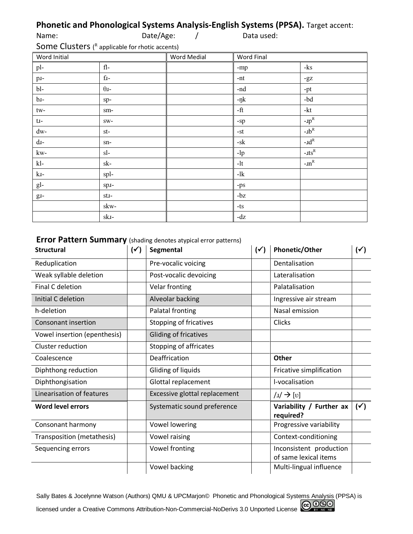# **Phonetic and Phonological Systems Analysis-English Systems (PPSA).** Target accent:

| Name:                                                              | Date/Age: |  | Data used: |  |  |
|--------------------------------------------------------------------|-----------|--|------------|--|--|
| <b>Some Clusters</b> $\binom{R}{k}$ applicable for rhotic accents) |           |  |            |  |  |

applicable for rho Word Initial Word Medial Word Final pl- fl- -mp -ks p. 1-1 contract the contract of the contract of the contract of the contract of the contract of the contract of the contract of the contract of the contract of the contract of the contract of the contract of the contract o bl-  $\theta$ <sup>1</sup>-nd -pt b.  $\log_{10}$  -pk  $\log_{10}$  -bd tw- sm- sm- sm-  $\parallel$  -ft -kt t- sw- -sp -ɹp  $-$ J $p^R$ dw- st- st- st-  $\|$  -st  $\|$  -st  $\|$  -st  $\|$  -nb  $-$ u $b^R$ d- sn- -sk -ɹd  $-d^R$  $\mathbf{k}\mathbf{w}$ -  $\mathbf{s}$ - $\mathbf{s}$ -  $\mathbf{s}$ - $\mathbf{s}$ - $\mathbf{s}$ - $\mathbf{s}$ - $\mathbf{s}$ - $\mathbf{s}$ - $\mathbf{s}$ - $\mathbf{s}$ - $\mathbf{s}$ - $\mathbf{s}$ - $\mathbf{s}$ - $\mathbf{s}$ - $\mathbf{s}$ - $\mathbf{s}$ - $\mathbf{s}$ - $\mathbf{s}$ - $\mathbf{s}$ - $\mathbf{s}$ - $\mathbf{s}$ - $\mathbf{s}$ - $\mathbf{s}$ - $\mathbf{s}$ - $\mathbf{s}$ - $\mathbf{s}$ kl- sk- sk- - lt -1t - ln -1m - $\text{m}^{\text{R}}$  $kI-$  spl- spl- splgl-  $|$  spi-  $|$  -ps g.  $g_t = \begin{vmatrix} st & t \\ 0 & st \end{vmatrix}$  -bz skwski- and a state of  $\vert -dz$ 

## **Error Pattern Summary** (shading denotes atypical error patterns)

| <b>Structural</b>            | $(\checkmark)$ | Segmental                     |  | Phonetic/Other                                   | $(\checkmark)$ |
|------------------------------|----------------|-------------------------------|--|--------------------------------------------------|----------------|
| Reduplication                |                | Pre-vocalic voicing           |  | Dentalisation                                    |                |
| Weak syllable deletion       |                | Post-vocalic devoicing        |  | Lateralisation                                   |                |
| <b>Final C deletion</b>      |                | Velar fronting                |  | Palatalisation                                   |                |
| Initial C deletion           |                | Alveolar backing              |  | Ingressive air stream                            |                |
| h-deletion                   |                | Palatal fronting              |  | Nasal emission                                   |                |
| <b>Consonant insertion</b>   |                | <b>Stopping of fricatives</b> |  | <b>Clicks</b>                                    |                |
| Vowel insertion (epenthesis) |                | Gliding of fricatives         |  |                                                  |                |
| Cluster reduction            |                | Stopping of affricates        |  |                                                  |                |
| Coalescence                  |                | Deaffrication                 |  | Other                                            |                |
| Diphthong reduction          |                | Gliding of liquids            |  | Fricative simplification                         |                |
| Diphthongisation             |                | Glottal replacement           |  | l-vocalisation                                   |                |
| Linearisation of features    |                | Excessive glottal replacement |  | $ u  \rightarrow  v $                            |                |
| <b>Word level errors</b>     |                | Systematic sound preference   |  | Variability / Further ax<br>required?            | $(\checkmark)$ |
| Consonant harmony            |                | <b>Vowel lowering</b>         |  | Progressive variability                          |                |
| Transposition (metathesis)   |                | Vowel raising                 |  | Context-conditioning                             |                |
| Sequencing errors            |                | Vowel fronting                |  | Inconsistent production<br>of same lexical items |                |
|                              |                | Vowel backing                 |  | Multi-lingual influence                          |                |

Sally Bates & Jocelynne Watson (Authors) QMU & UPCMarjon© Phonetic and Phonological Systems Analysis (PPSA) is licensed under a Creative Commons Attribution-Non-Commercial-NoDerivs 3.0 Unported License COOSO